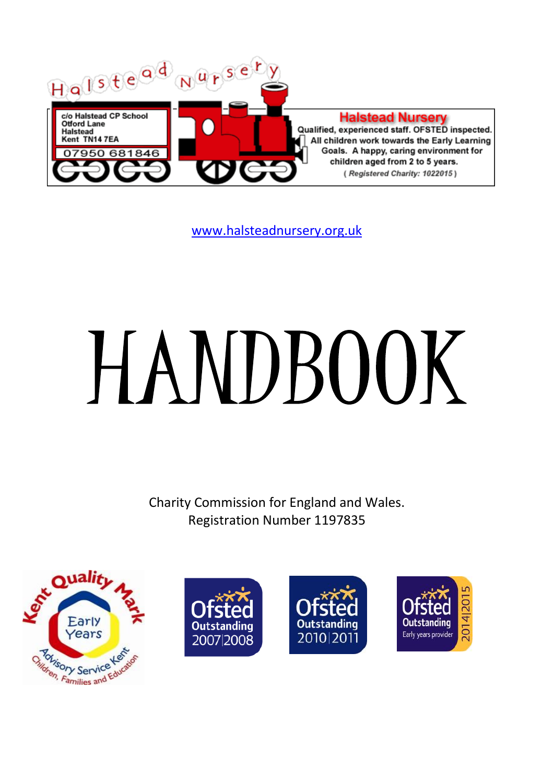

[www.halsteadnursery.org.uk](http://www.halsteadnursery.org.uk/)

# **HANDBOOK**

Charity Commission for England and Wales. Registration Number 1197835







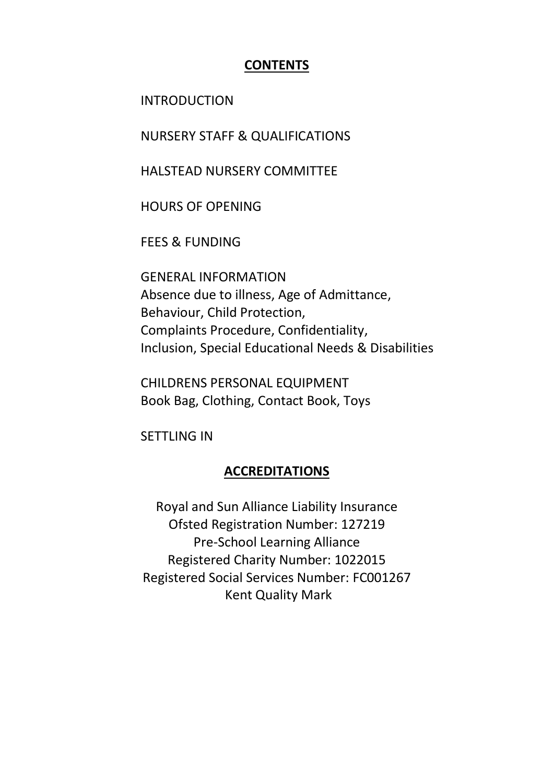### **CONTENTS**

INTRODUCTION

NURSERY STAFF & QUALIFICATIONS

HALSTEAD NURSERY COMMITTEE

HOURS OF OPENING

FEES & FUNDING

GENERAL INFORMATION Absence due to illness, Age of Admittance, Behaviour, Child Protection, Complaints Procedure, Confidentiality, Inclusion, Special Educational Needs & Disabilities

CHILDRENS PERSONAL EQUIPMENT Book Bag, Clothing, Contact Book, Toys

SETTLING IN

### **ACCREDITATIONS**

Royal and Sun Alliance Liability Insurance Ofsted Registration Number: 127219 Pre-School Learning Alliance Registered Charity Number: 1022015 Registered Social Services Number: FC001267 Kent Quality Mark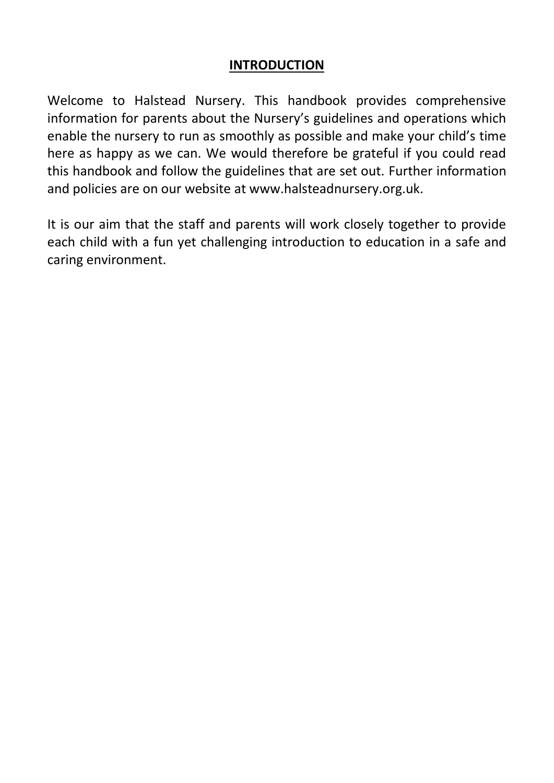### **INTRODUCTION**

Welcome to Halstead Nursery. This handbook provides comprehensive information for parents about the Nursery's guidelines and operations which enable the nursery to run as smoothly as possible and make your child's time here as happy as we can. We would therefore be grateful if you could read this handbook and follow the guidelines that are set out. Further information and policies are on our website at www.halsteadnursery.org.uk.

It is our aim that the staff and parents will work closely together to provide each child with a fun yet challenging introduction to education in a safe and caring environment.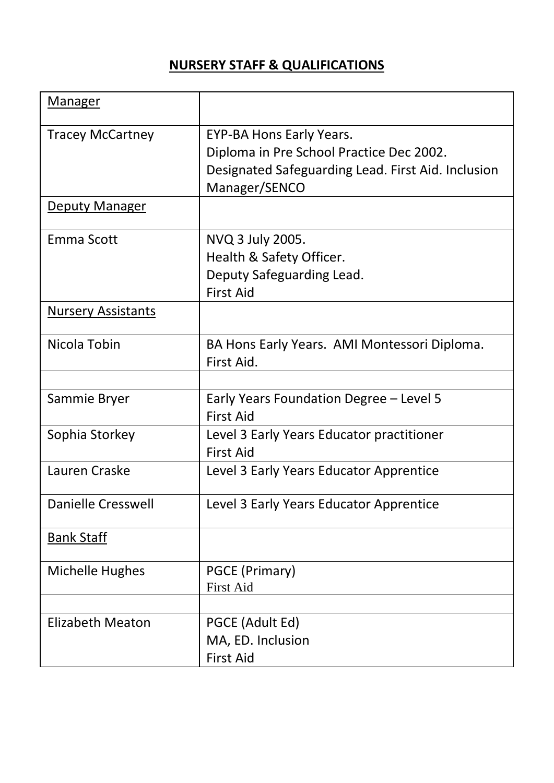# **NURSERY STAFF & QUALIFICATIONS**

| Manager                   |                                                                                                                                             |
|---------------------------|---------------------------------------------------------------------------------------------------------------------------------------------|
| <b>Tracey McCartney</b>   | EYP-BA Hons Early Years.<br>Diploma in Pre School Practice Dec 2002.<br>Designated Safeguarding Lead. First Aid. Inclusion<br>Manager/SENCO |
| <b>Deputy Manager</b>     |                                                                                                                                             |
| Emma Scott                | NVQ 3 July 2005.<br>Health & Safety Officer.<br>Deputy Safeguarding Lead.<br><b>First Aid</b>                                               |
| <b>Nursery Assistants</b> |                                                                                                                                             |
| Nicola Tobin              | BA Hons Early Years. AMI Montessori Diploma.<br>First Aid.                                                                                  |
| Sammie Bryer              | Early Years Foundation Degree - Level 5<br><b>First Aid</b>                                                                                 |
| Sophia Storkey            | Level 3 Early Years Educator practitioner<br><b>First Aid</b>                                                                               |
| Lauren Craske             | Level 3 Early Years Educator Apprentice                                                                                                     |
| <b>Danielle Cresswell</b> | Level 3 Early Years Educator Apprentice                                                                                                     |
| <b>Bank Staff</b>         |                                                                                                                                             |
| Michelle Hughes           | PGCE (Primary)<br><b>First Aid</b>                                                                                                          |
| Elizabeth Meaton          | PGCE (Adult Ed)<br>MA, ED. Inclusion<br><b>First Aid</b>                                                                                    |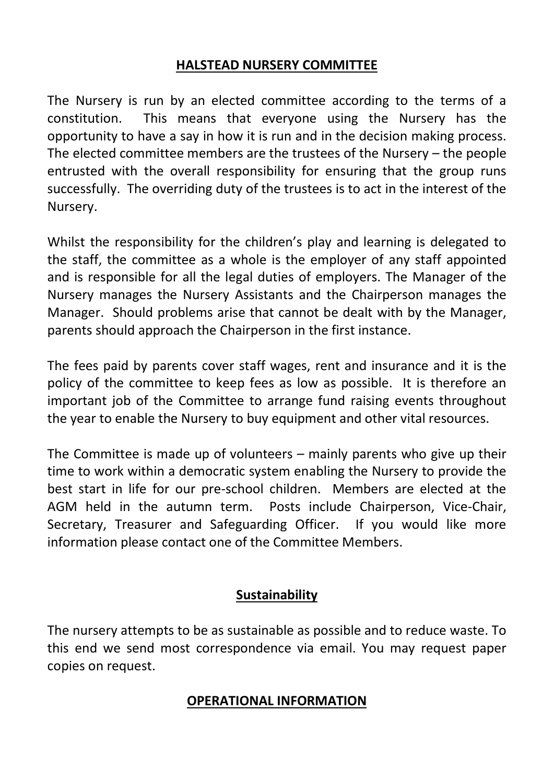### **HALSTEAD NURSERY COMMITTEE**

The Nursery is run by an elected committee according to the terms of a constitution. This means that everyone using the Nursery has the opportunity to have a say in how it is run and in the decision making process. The elected committee members are the trustees of the Nursery – the people entrusted with the overall responsibility for ensuring that the group runs successfully. The overriding duty of the trustees is to act in the interest of the Nursery.

Whilst the responsibility for the children's play and learning is delegated to the staff, the committee as a whole is the employer of any staff appointed and is responsible for all the legal duties of employers. The Manager of the Nursery manages the Nursery Assistants and the Chairperson manages the Manager. Should problems arise that cannot be dealt with by the Manager, parents should approach the Chairperson in the first instance.

The fees paid by parents cover staff wages, rent and insurance and it is the policy of the committee to keep fees as low as possible. It is therefore an important job of the Committee to arrange fund raising events throughout the year to enable the Nursery to buy equipment and other vital resources.

The Committee is made up of volunteers – mainly parents who give up their time to work within a democratic system enabling the Nursery to provide the best start in life for our pre-school children. Members are elected at the AGM held in the autumn term. Posts include Chairperson, Vice-Chair, Secretary, Treasurer and Safeguarding Officer. If you would like more information please contact one of the Committee Members.

### **Sustainability**

The nursery attempts to be as sustainable as possible and to reduce waste. To this end we send most correspondence via email. You may request paper copies on request.

### **OPERATIONAL INFORMATION**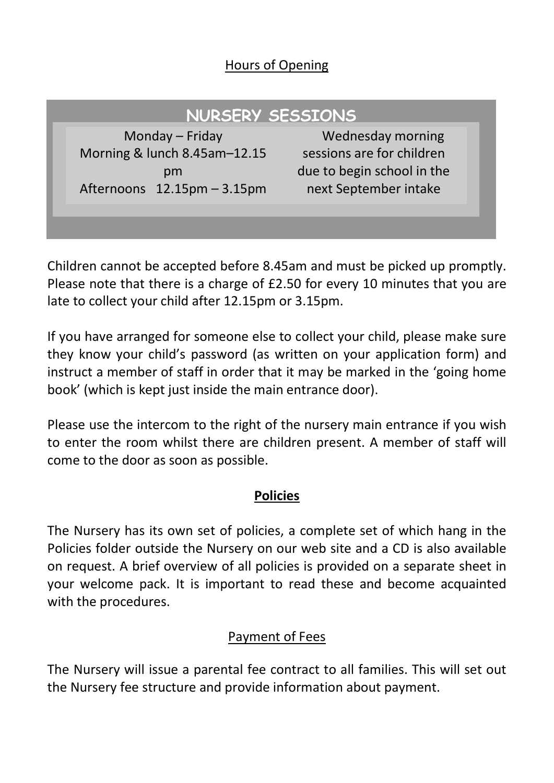### Hours of Opening

# **NURSERY SESSIONS**

Monday – Friday Morning & lunch 8.45am–12.15 pm Afternoons 12.15pm – 3.15pm

Wednesday morning sessions are for children due to begin school in the next September intake

Children cannot be accepted before 8.45am and must be picked up promptly. Please note that there is a charge of £2.50 for every 10 minutes that you are late to collect your child after 12.15pm or 3.15pm.

If you have arranged for someone else to collect your child, please make sure they know your child's password (as written on your application form) and instruct a member of staff in order that it may be marked in the 'going home book' (which is kept just inside the main entrance door).

Please use the intercom to the right of the nursery main entrance if you wish to enter the room whilst there are children present. A member of staff will come to the door as soon as possible.

### **Policies**

The Nursery has its own set of policies, a complete set of which hang in the Policies folder outside the Nursery on our web site and a CD is also available on request. A brief overview of all policies is provided on a separate sheet in your welcome pack. It is important to read these and become acquainted with the procedures.

# Payment of Fees

The Nursery will issue a parental fee contract to all families. This will set out the Nursery fee structure and provide information about payment.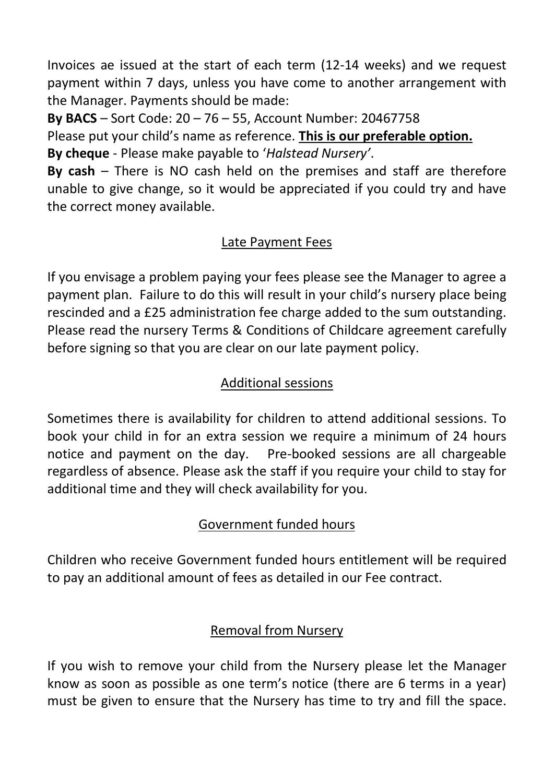Invoices ae issued at the start of each term (12-14 weeks) and we request payment within 7 days, unless you have come to another arrangement with the Manager. Payments should be made:

**By BACS** – Sort Code: 20 – 76 – 55, Account Number: 20467758 Please put your child's name as reference. **This is our preferable option. By cheque** - Please make payable to '*Halstead Nursery'*.

**By cash** – There is NO cash held on the premises and staff are therefore unable to give change, so it would be appreciated if you could try and have the correct money available.

# Late Payment Fees

If you envisage a problem paying your fees please see the Manager to agree a payment plan. Failure to do this will result in your child's nursery place being rescinded and a £25 administration fee charge added to the sum outstanding. Please read the nursery Terms & Conditions of Childcare agreement carefully before signing so that you are clear on our late payment policy.

# Additional sessions

Sometimes there is availability for children to attend additional sessions. To book your child in for an extra session we require a minimum of 24 hours notice and payment on the day. Pre-booked sessions are all chargeable regardless of absence. Please ask the staff if you require your child to stay for additional time and they will check availability for you.

# Government funded hours

Children who receive Government funded hours entitlement will be required to pay an additional amount of fees as detailed in our Fee contract.

# Removal from Nursery

If you wish to remove your child from the Nursery please let the Manager know as soon as possible as one term's notice (there are 6 terms in a year) must be given to ensure that the Nursery has time to try and fill the space.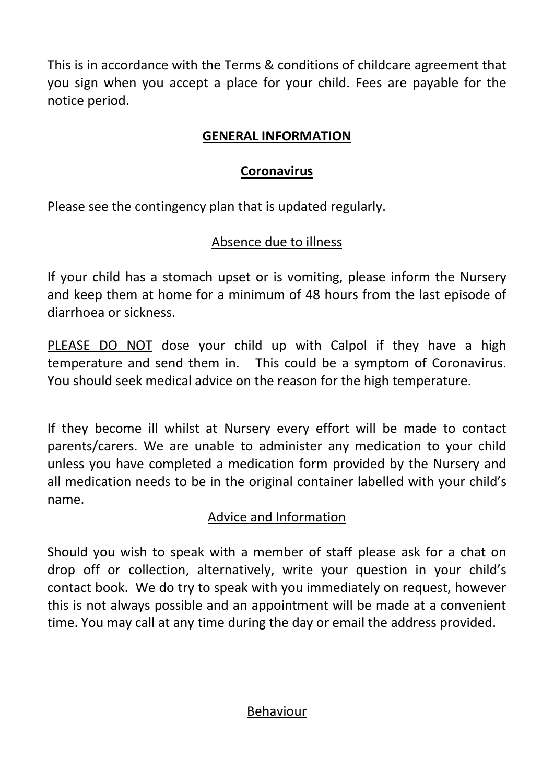This is in accordance with the Terms & conditions of childcare agreement that you sign when you accept a place for your child. Fees are payable for the notice period.

### **GENERAL INFORMATION**

# **Coronavirus**

Please see the contingency plan that is updated regularly.

# Absence due to illness

If your child has a stomach upset or is vomiting, please inform the Nursery and keep them at home for a minimum of 48 hours from the last episode of diarrhoea or sickness.

PLEASE DO NOT dose your child up with Calpol if they have a high temperature and send them in. This could be a symptom of Coronavirus. You should seek medical advice on the reason for the high temperature.

If they become ill whilst at Nursery every effort will be made to contact parents/carers. We are unable to administer any medication to your child unless you have completed a medication form provided by the Nursery and all medication needs to be in the original container labelled with your child's name.

# Advice and Information

Should you wish to speak with a member of staff please ask for a chat on drop off or collection, alternatively, write your question in your child's contact book. We do try to speak with you immediately on request, however this is not always possible and an appointment will be made at a convenient time. You may call at any time during the day or email the address provided.

### Behaviour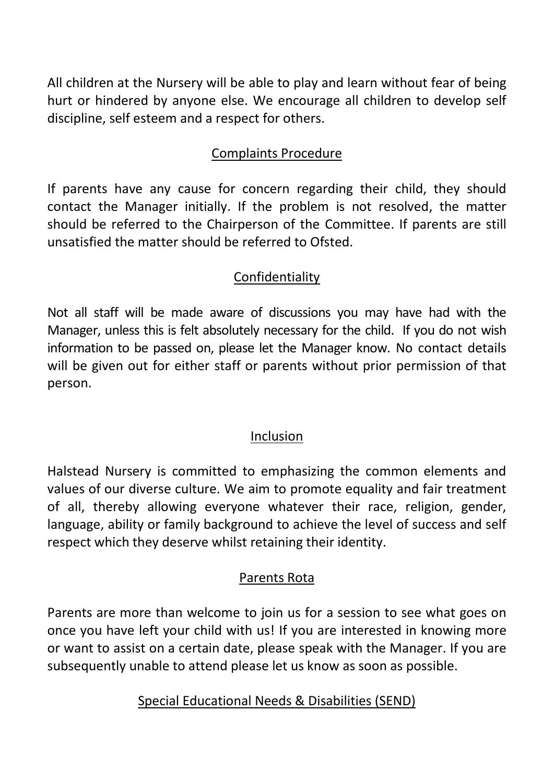All children at the Nursery will be able to play and learn without fear of being hurt or hindered by anyone else. We encourage all children to develop self discipline, self esteem and a respect for others.

# Complaints Procedure

If parents have any cause for concern regarding their child, they should contact the Manager initially. If the problem is not resolved, the matter should be referred to the Chairperson of the Committee. If parents are still unsatisfied the matter should be referred to Ofsted.

# Confidentiality

Not all staff will be made aware of discussions you may have had with the Manager, unless this is felt absolutely necessary for the child. If you do not wish information to be passed on, please let the Manager know. No contact details will be given out for either staff or parents without prior permission of that person.

### Inclusion

Halstead Nursery is committed to emphasizing the common elements and values of our diverse culture. We aim to promote equality and fair treatment of all, thereby allowing everyone whatever their race, religion, gender, language, ability or family background to achieve the level of success and self respect which they deserve whilst retaining their identity.

# Parents Rota

Parents are more than welcome to join us for a session to see what goes on once you have left your child with us! If you are interested in knowing more or want to assist on a certain date, please speak with the Manager. If you are subsequently unable to attend please let us know as soon as possible.

Special Educational Needs & Disabilities (SEND)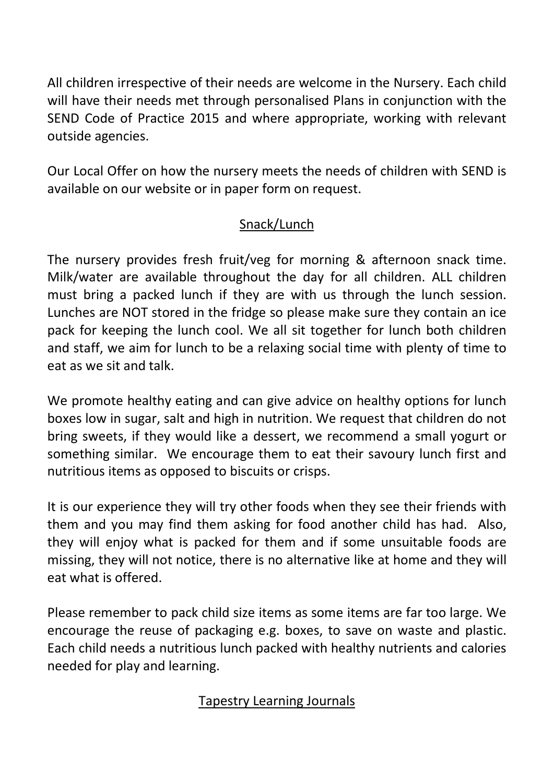All children irrespective of their needs are welcome in the Nursery. Each child will have their needs met through personalised Plans in conjunction with the SEND Code of Practice 2015 and where appropriate, working with relevant outside agencies.

Our Local Offer on how the nursery meets the needs of children with SEND is available on our website or in paper form on request.

# Snack/Lunch

The nursery provides fresh fruit/veg for morning & afternoon snack time. Milk/water are available throughout the day for all children. ALL children must bring a packed lunch if they are with us through the lunch session. Lunches are NOT stored in the fridge so please make sure they contain an ice pack for keeping the lunch cool. We all sit together for lunch both children and staff, we aim for lunch to be a relaxing social time with plenty of time to eat as we sit and talk.

We promote healthy eating and can give advice on healthy options for lunch boxes low in sugar, salt and high in nutrition. We request that children do not bring sweets, if they would like a dessert, we recommend a small yogurt or something similar. We encourage them to eat their savoury lunch first and nutritious items as opposed to biscuits or crisps.

It is our experience they will try other foods when they see their friends with them and you may find them asking for food another child has had. Also, they will enjoy what is packed for them and if some unsuitable foods are missing, they will not notice, there is no alternative like at home and they will eat what is offered.

Please remember to pack child size items as some items are far too large. We encourage the reuse of packaging e.g. boxes, to save on waste and plastic. Each child needs a nutritious lunch packed with healthy nutrients and calories needed for play and learning.

# Tapestry Learning Journals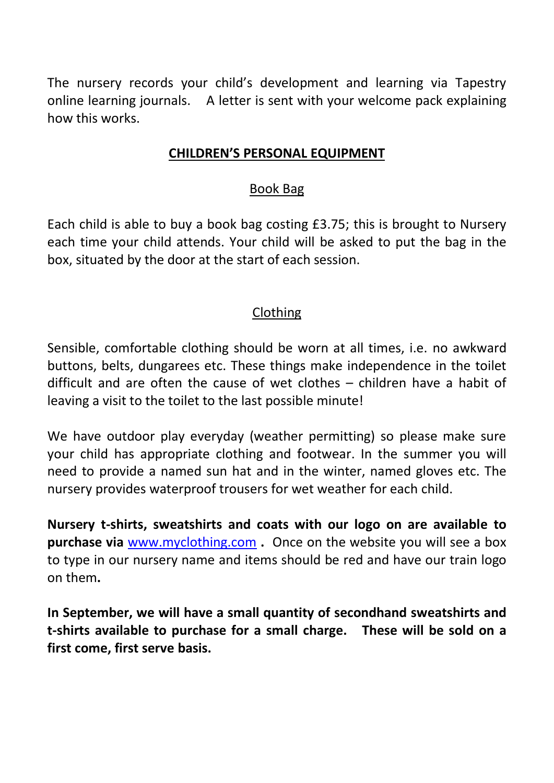The nursery records your child's development and learning via Tapestry online learning journals. A letter is sent with your welcome pack explaining how this works.

### **CHILDREN'S PERSONAL EQUIPMENT**

### Book Bag

Each child is able to buy a book bag costing £3.75; this is brought to Nursery each time your child attends. Your child will be asked to put the bag in the box, situated by the door at the start of each session.

# Clothing

Sensible, comfortable clothing should be worn at all times, i.e. no awkward buttons, belts, dungarees etc. These things make independence in the toilet difficult and are often the cause of wet clothes – children have a habit of leaving a visit to the toilet to the last possible minute!

We have outdoor play everyday (weather permitting) so please make sure your child has appropriate clothing and footwear. In the summer you will need to provide a named sun hat and in the winter, named gloves etc. The nursery provides waterproof trousers for wet weather for each child.

**Nursery t-shirts, sweatshirts and coats with our logo on are available to purchase via** [www.myclothing.com](http://www.myclothing.com/) **.** Once on the website you will see a box to type in our nursery name and items should be red and have our train logo on them**.** 

**In September, we will have a small quantity of secondhand sweatshirts and t-shirts available to purchase for a small charge. These will be sold on a first come, first serve basis.**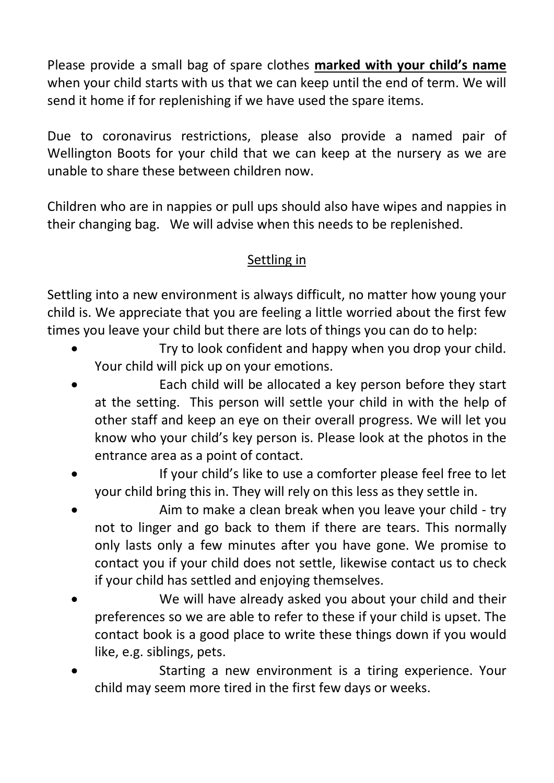Please provide a small bag of spare clothes **marked with your child's name** when your child starts with us that we can keep until the end of term. We will send it home if for replenishing if we have used the spare items.

Due to coronavirus restrictions, please also provide a named pair of Wellington Boots for your child that we can keep at the nursery as we are unable to share these between children now.

Children who are in nappies or pull ups should also have wipes and nappies in their changing bag. We will advise when this needs to be replenished.

# Settling in

Settling into a new environment is always difficult, no matter how young your child is. We appreciate that you are feeling a little worried about the first few times you leave your child but there are lots of things you can do to help:

- Try to look confident and happy when you drop your child. Your child will pick up on your emotions.
- Each child will be allocated a key person before they start at the setting. This person will settle your child in with the help of other staff and keep an eye on their overall progress. We will let you know who your child's key person is. Please look at the photos in the entrance area as a point of contact.
- If your child's like to use a comforter please feel free to let your child bring this in. They will rely on this less as they settle in.
- Aim to make a clean break when you leave your child try not to linger and go back to them if there are tears. This normally only lasts only a few minutes after you have gone. We promise to contact you if your child does not settle, likewise contact us to check if your child has settled and enjoying themselves.
- We will have already asked you about your child and their preferences so we are able to refer to these if your child is upset. The contact book is a good place to write these things down if you would like, e.g. siblings, pets.
- Starting a new environment is a tiring experience. Your child may seem more tired in the first few days or weeks.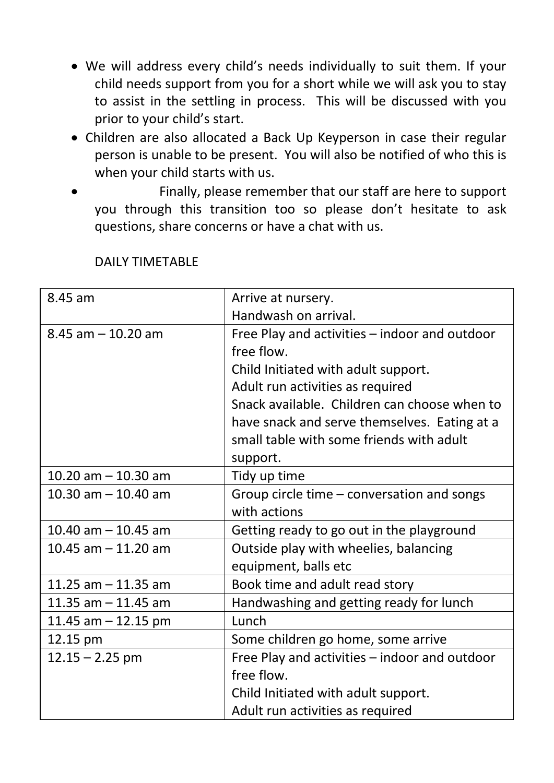- We will address every child's needs individually to suit them. If your child needs support from you for a short while we will ask you to stay to assist in the settling in process. This will be discussed with you prior to your child's start.
- Children are also allocated a Back Up Keyperson in case their regular person is unable to be present. You will also be notified of who this is when your child starts with us.
- Finally, please remember that our staff are here to support you through this transition too so please don't hesitate to ask questions, share concerns or have a chat with us.

| 8.45 am               | Arrive at nursery.                            |
|-----------------------|-----------------------------------------------|
|                       | Handwash on arrival.                          |
| $8.45$ am $-10.20$ am | Free Play and activities - indoor and outdoor |
|                       | free flow.                                    |
|                       | Child Initiated with adult support.           |
|                       | Adult run activities as required              |
|                       | Snack available. Children can choose when to  |
|                       | have snack and serve themselves. Eating at a  |
|                       | small table with some friends with adult      |
|                       | support.                                      |
| 10.20 $am - 10.30$ am | Tidy up time                                  |
| 10.30 am $-$ 10.40 am | Group circle time - conversation and songs    |
|                       | with actions                                  |
| 10.40 am $-$ 10.45 am | Getting ready to go out in the playground     |
| 10.45 $am - 11.20$ am | Outside play with wheelies, balancing         |
|                       | equipment, balls etc                          |
| 11.25 $am - 11.35 am$ | Book time and adult read story                |
| 11.35 $am - 11.45$ am | Handwashing and getting ready for lunch       |
| 11.45 am $-$ 12.15 pm | Lunch                                         |
| 12.15 pm              | Some children go home, some arrive            |
| $12.15 - 2.25$ pm     | Free Play and activities - indoor and outdoor |
|                       | free flow.                                    |
|                       | Child Initiated with adult support.           |
|                       | Adult run activities as required              |

DAILY TIMETABLE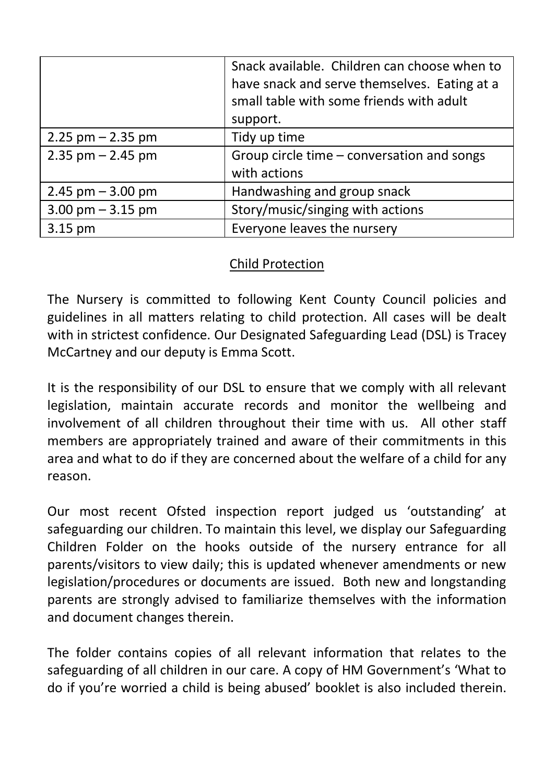|                       | Snack available. Children can choose when to<br>have snack and serve themselves. Eating at a<br>small table with some friends with adult<br>support. |
|-----------------------|------------------------------------------------------------------------------------------------------------------------------------------------------|
| $2.25$ pm $- 2.35$ pm | Tidy up time                                                                                                                                         |
| $2.35$ pm $- 2.45$ pm | Group circle time - conversation and songs<br>with actions                                                                                           |
| $2.45$ pm $-3.00$ pm  | Handwashing and group snack                                                                                                                          |
| $3.00$ pm $-3.15$ pm  | Story/music/singing with actions                                                                                                                     |
| 3.15 pm               | Everyone leaves the nursery                                                                                                                          |

# Child Protection

The Nursery is committed to following Kent County Council policies and guidelines in all matters relating to child protection. All cases will be dealt with in strictest confidence. Our Designated Safeguarding Lead (DSL) is Tracey McCartney and our deputy is Emma Scott.

It is the responsibility of our DSL to ensure that we comply with all relevant legislation, maintain accurate records and monitor the wellbeing and involvement of all children throughout their time with us. All other staff members are appropriately trained and aware of their commitments in this area and what to do if they are concerned about the welfare of a child for any reason.

Our most recent Ofsted inspection report judged us 'outstanding' at safeguarding our children. To maintain this level, we display our Safeguarding Children Folder on the hooks outside of the nursery entrance for all parents/visitors to view daily; this is updated whenever amendments or new legislation/procedures or documents are issued. Both new and longstanding parents are strongly advised to familiarize themselves with the information and document changes therein.

The folder contains copies of all relevant information that relates to the safeguarding of all children in our care. A copy of HM Government's 'What to do if you're worried a child is being abused' booklet is also included therein.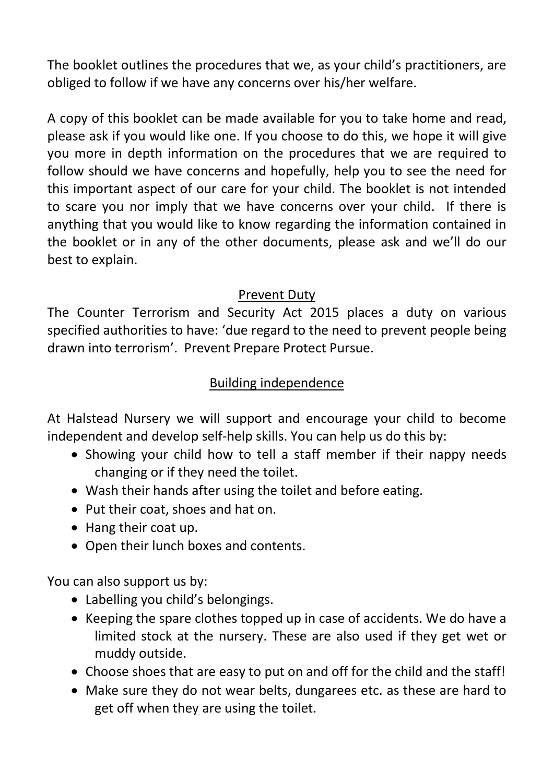The booklet outlines the procedures that we, as your child's practitioners, are obliged to follow if we have any concerns over his/her welfare.

A copy of this booklet can be made available for you to take home and read, please ask if you would like one. If you choose to do this, we hope it will give you more in depth information on the procedures that we are required to follow should we have concerns and hopefully, help you to see the need for this important aspect of our care for your child. The booklet is not intended to scare you nor imply that we have concerns over your child. If there is anything that you would like to know regarding the information contained in the booklet or in any of the other documents, please ask and we'll do our best to explain.

### Prevent Duty

The Counter Terrorism and Security Act 2015 places a duty on various specified authorities to have: 'due regard to the need to prevent people being drawn into terrorism'. Prevent Prepare Protect Pursue.

# Building independence

At Halstead Nursery we will support and encourage your child to become independent and develop self-help skills. You can help us do this by:

- Showing your child how to tell a staff member if their nappy needs changing or if they need the toilet.
- Wash their hands after using the toilet and before eating.
- Put their coat, shoes and hat on.
- Hang their coat up.
- Open their lunch boxes and contents.

You can also support us by:

- Labelling you child's belongings.
- Keeping the spare clothes topped up in case of accidents. We do have a limited stock at the nursery. These are also used if they get wet or muddy outside.
- Choose shoes that are easy to put on and off for the child and the staff!
- Make sure they do not wear belts, dungarees etc. as these are hard to get off when they are using the toilet.